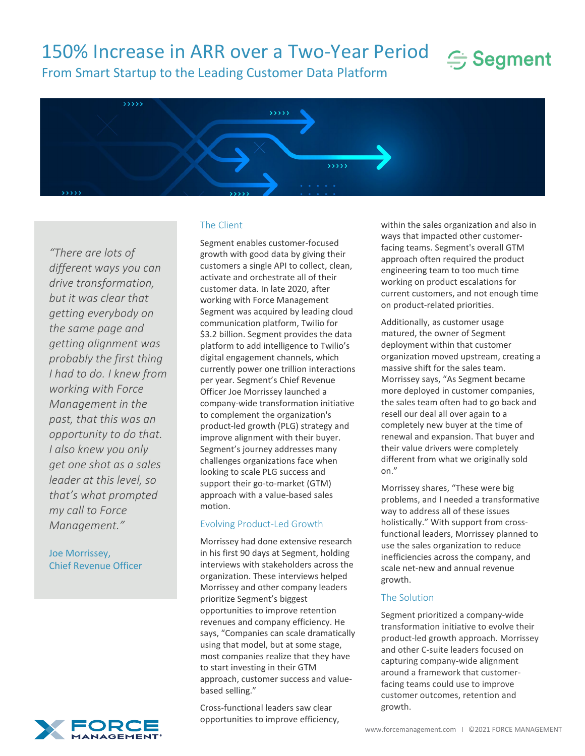# 150% Increase in ARR over a Two-Year Period



From Smart Startup to the Leading Customer Data Platform



*"There are lots of different ways you can drive transformation, but it was clear that getting everybody on the same page and getting alignment was probably the first thing I had to do. I knew from working with Force Management in the past, that this was an opportunity to do that. I also knew you only get one shot as a sales leader at this level, so that's what prompted my call to Force Management."*

Joe Morrissey, Chief Revenue Officer



#### The Client

Segment enables customer-focused growth with good data by giving their customers a single API to collect, clean, activate and orchestrate all of their customer data. In late 2020, after working with Force Management Segment was acquired by leading cloud communication platform, Twilio for \$3.2 billion. Segment provides the data platform to add intelligence to Twilio's digital engagement channels, which currently power one trillion interactions per year. Segment's Chief Revenue Officer Joe Morrissey launched a company-wide transformation initiative to complement the organization's product-led growth (PLG) strategy and improve alignment with their buyer. Segment's journey addresses many challenges organizations face when looking to scale PLG success and support their go-to-market (GTM) approach with a value-based sales motion.

#### Evolving Product-Led Growth

Morrissey had done extensive research in his first 90 days at Segment, holding interviews with stakeholders across the organization. These interviews helped Morrissey and other company leaders prioritize Segment's biggest opportunities to improve retention revenues and company efficiency. He says, "Companies can scale dramatically using that model, but at some stage, most companies realize that they have to start investing in their GTM approach, customer success and valuebased selling."

Cross-functional leaders saw clear opportunities to improve efficiency,

within the sales organization and also in ways that impacted other customerfacing teams. Segment's overall GTM approach often required the product engineering team to too much time working on product escalations for current customers, and not enough time on product-related priorities.

Additionally, as customer usage matured, the owner of Segment deployment within that customer organization moved upstream, creating a massive shift for the sales team. Morrissey says, "As Segment became more deployed in customer companies, the sales team often had to go back and resell our deal all over again to a completely new buyer at the time of renewal and expansion. That buyer and their value drivers were completely different from what we originally sold on."

Morrissey shares, "These were big problems, and I needed a transformative way to address all of these issues holistically." With support from crossfunctional leaders, Morrissey planned to use the sales organization to reduce inefficiencies across the company, and scale net-new and annual revenue growth.

### The Solution

Segment prioritized a company-wide transformation initiative to evolve their product-led growth approach. Morrissey and other C-suite leaders focused on capturing company-wide alignment around a framework that customerfacing teams could use to improve customer outcomes, retention and growth.